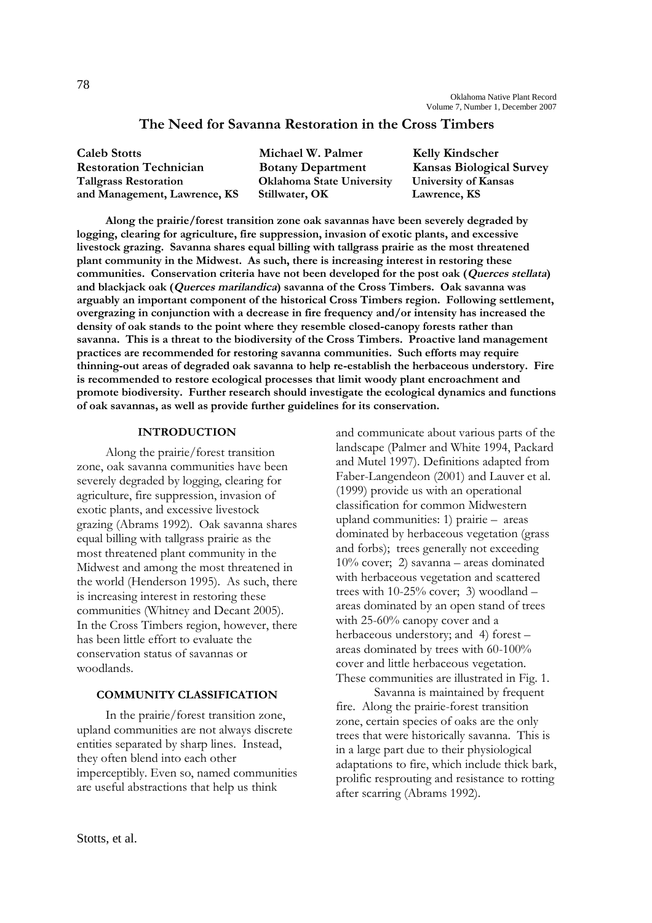# **The Need for Savanna Restoration in the Cross Timbers**

| <b>Caleb Stotts</b>           | Michael W. Palmer                | <b>Kelly Kindscher</b>          |
|-------------------------------|----------------------------------|---------------------------------|
| <b>Restoration Technician</b> | <b>Botany Department</b>         | <b>Kansas Biological Survey</b> |
| <b>Tallgrass Restoration</b>  | <b>Oklahoma State University</b> | University of Kansas            |
| and Management, Lawrence, KS  | Stillwater, OK                   | Lawrence, KS                    |

**Along the prairie/forest transition zone oak savannas have been severely degraded by logging, clearing for agriculture, fire suppression, invasion of exotic plants, and excessive livestock grazing. Savanna shares equal billing with tallgrass prairie as the most threatened plant community in the Midwest. As such, there is increasing interest in restoring these communities. Conservation criteria have not been developed for the post oak (Querces stellata) and blackjack oak (Querces marilandica) savanna of the Cross Timbers. Oak savanna was arguably an important component of the historical Cross Timbers region. Following settlement, overgrazing in conjunction with a decrease in fire frequency and/or intensity has increased the density of oak stands to the point where they resemble closed-canopy forests rather than savanna. This is a threat to the biodiversity of the Cross Timbers. Proactive land management practices are recommended for restoring savanna communities. Such efforts may require thinning-out areas of degraded oak savanna to help re-establish the herbaceous understory. Fire is recommended to restore ecological processes that limit woody plant encroachment and promote biodiversity. Further research should investigate the ecological dynamics and functions of oak savannas, as well as provide further guidelines for its conservation.**

# **INTRODUCTION**

Along the prairie/forest transition zone, oak savanna communities have been severely degraded by logging, clearing for agriculture, fire suppression, invasion of exotic plants, and excessive livestock grazing (Abrams 1992). Oak savanna shares equal billing with tallgrass prairie as the most threatened plant community in the Midwest and among the most threatened in the world (Henderson 1995). As such, there is increasing interest in restoring these communities (Whitney and Decant 2005). In the Cross Timbers region, however, there has been little effort to evaluate the conservation status of savannas or woodlands.

#### **COMMUNITY CLASSIFICATION**

In the prairie/forest transition zone, upland communities are not always discrete entities separated by sharp lines. Instead, they often blend into each other imperceptibly. Even so, named communities are useful abstractions that help us think

and communicate about various parts of the landscape (Palmer and White 1994, Packard and Mutel 1997). Definitions adapted from Faber-Langendeon (2001) and Lauver et al. (1999) provide us with an operational classification for common Midwestern upland communities: 1) prairie – areas dominated by herbaceous vegetation (grass and forbs); trees generally not exceeding 10% cover; 2) savanna – areas dominated with herbaceous vegetation and scattered trees with 10-25% cover; 3) woodland – areas dominated by an open stand of trees with 25-60% canopy cover and a herbaceous understory; and 4) forest – areas dominated by trees with 60-100% cover and little herbaceous vegetation. These communities are illustrated in Fig. 1.

Savanna is maintained by frequent fire. Along the prairie-forest transition zone, certain species of oaks are the only trees that were historically savanna. This is in a large part due to their physiological adaptations to fire, which include thick bark, prolific resprouting and resistance to rotting after scarring (Abrams 1992).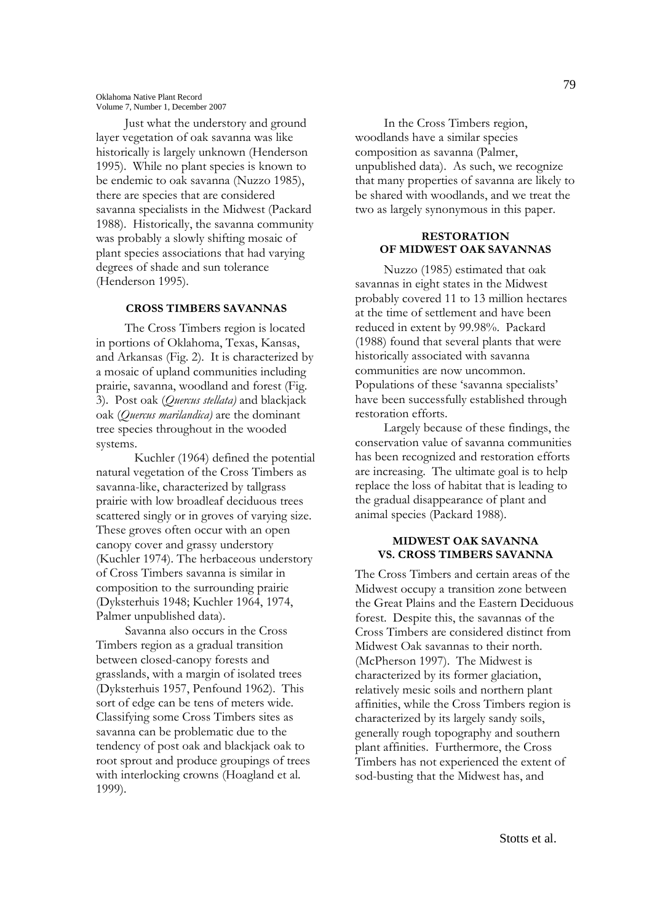Just what the understory and ground layer vegetation of oak savanna was like historically is largely unknown (Henderson 1995). While no plant species is known to be endemic to oak savanna (Nuzzo 1985), there are species that are considered savanna specialists in the Midwest (Packard 1988). Historically, the savanna community was probably a slowly shifting mosaic of plant species associations that had varying degrees of shade and sun tolerance (Henderson 1995).

# **CROSS TIMBERS SAVANNAS**

The Cross Timbers region is located in portions of Oklahoma, Texas, Kansas, and Arkansas (Fig. 2). It is characterized by a mosaic of upland communities including prairie, savanna, woodland and forest (Fig. 3). Post oak (*Quercus stellata)* and blackjack oak (*Quercus marilandica)* are the dominant tree species throughout in the wooded systems.

Kuchler (1964) defined the potential natural vegetation of the Cross Timbers as savanna-like, characterized by tallgrass prairie with low broadleaf deciduous trees scattered singly or in groves of varying size. These groves often occur with an open canopy cover and grassy understory (Kuchler 1974). The herbaceous understory of Cross Timbers savanna is similar in composition to the surrounding prairie (Dyksterhuis 1948; Kuchler 1964, 1974, Palmer unpublished data).

Savanna also occurs in the Cross Timbers region as a gradual transition between closed-canopy forests and grasslands, with a margin of isolated trees (Dyksterhuis 1957, Penfound 1962). This sort of edge can be tens of meters wide. Classifying some Cross Timbers sites as savanna can be problematic due to the tendency of post oak and blackjack oak to root sprout and produce groupings of trees with interlocking crowns (Hoagland et al. 1999).

In the Cross Timbers region, woodlands have a similar species composition as savanna (Palmer, unpublished data). As such, we recognize that many properties of savanna are likely to be shared with woodlands, and we treat the two as largely synonymous in this paper.

### **RESTORATION OF MIDWEST OAK SAVANNAS**

Nuzzo (1985) estimated that oak savannas in eight states in the Midwest probably covered 11 to 13 million hectares at the time of settlement and have been reduced in extent by 99.98%. Packard (1988) found that several plants that were historically associated with savanna communities are now uncommon. Populations of these 'savanna specialists' have been successfully established through restoration efforts.

Largely because of these findings, the conservation value of savanna communities has been recognized and restoration efforts are increasing. The ultimate goal is to help replace the loss of habitat that is leading to the gradual disappearance of plant and animal species (Packard 1988).

#### **MIDWEST OAK SAVANNA VS. CROSS TIMBERS SAVANNA**

The Cross Timbers and certain areas of the Midwest occupy a transition zone between the Great Plains and the Eastern Deciduous forest. Despite this, the savannas of the Cross Timbers are considered distinct from Midwest Oak savannas to their north. (McPherson 1997). The Midwest is characterized by its former glaciation, relatively mesic soils and northern plant affinities, while the Cross Timbers region is characterized by its largely sandy soils, generally rough topography and southern plant affinities. Furthermore, the Cross Timbers has not experienced the extent of sod-busting that the Midwest has, and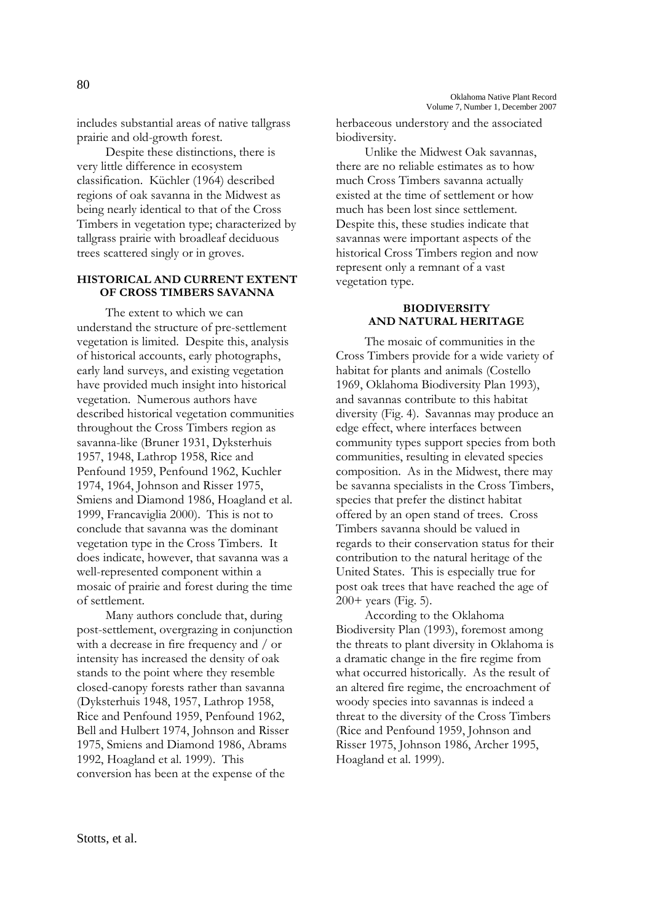includes substantial areas of native tallgrass prairie and old-growth forest.

Despite these distinctions, there is very little difference in ecosystem classification. Küchler (1964) described regions of oak savanna in the Midwest as being nearly identical to that of the Cross Timbers in vegetation type; characterized by tallgrass prairie with broadleaf deciduous trees scattered singly or in groves.

# **HISTORICAL AND CURRENT EXTENT OF CROSS TIMBERS SAVANNA**

The extent to which we can understand the structure of pre-settlement vegetation is limited. Despite this, analysis of historical accounts, early photographs, early land surveys, and existing vegetation have provided much insight into historical vegetation. Numerous authors have described historical vegetation communities throughout the Cross Timbers region as savanna-like (Bruner 1931, Dyksterhuis 1957, 1948, Lathrop 1958, Rice and Penfound 1959, Penfound 1962, Kuchler 1974, 1964, Johnson and Risser 1975, Smiens and Diamond 1986, Hoagland et al. 1999, Francaviglia 2000). This is not to conclude that savanna was the dominant vegetation type in the Cross Timbers. It does indicate, however, that savanna was a well-represented component within a mosaic of prairie and forest during the time of settlement.

Many authors conclude that, during post-settlement, overgrazing in conjunction with a decrease in fire frequency and / or intensity has increased the density of oak stands to the point where they resemble closed-canopy forests rather than savanna (Dyksterhuis 1948, 1957, Lathrop 1958, Rice and Penfound 1959, Penfound 1962, Bell and Hulbert 1974, Johnson and Risser 1975, Smiens and Diamond 1986, Abrams 1992, Hoagland et al. 1999). This conversion has been at the expense of the

herbaceous understory and the associated biodiversity.

Unlike the Midwest Oak savannas, there are no reliable estimates as to how much Cross Timbers savanna actually existed at the time of settlement or how much has been lost since settlement. Despite this, these studies indicate that savannas were important aspects of the historical Cross Timbers region and now represent only a remnant of a vast vegetation type.

# **BIODIVERSITY AND NATURAL HERITAGE**

The mosaic of communities in the Cross Timbers provide for a wide variety of habitat for plants and animals (Costello 1969, Oklahoma Biodiversity Plan 1993), and savannas contribute to this habitat diversity (Fig. 4). Savannas may produce an edge effect, where interfaces between community types support species from both communities, resulting in elevated species composition. As in the Midwest, there may be savanna specialists in the Cross Timbers, species that prefer the distinct habitat offered by an open stand of trees. Cross Timbers savanna should be valued in regards to their conservation status for their contribution to the natural heritage of the United States. This is especially true for post oak trees that have reached the age of 200+ years (Fig. 5).

According to the Oklahoma Biodiversity Plan (1993), foremost among the threats to plant diversity in Oklahoma is a dramatic change in the fire regime from what occurred historically. As the result of an altered fire regime, the encroachment of woody species into savannas is indeed a threat to the diversity of the Cross Timbers (Rice and Penfound 1959, Johnson and Risser 1975, Johnson 1986, Archer 1995, Hoagland et al. 1999).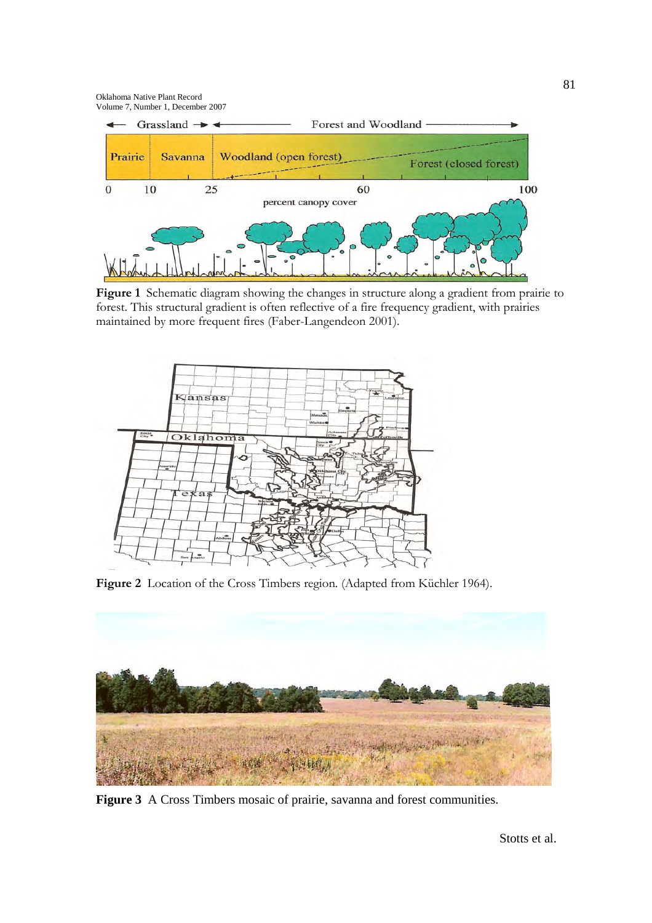

**Figure 1** Schematic diagram showing the changes in structure along a gradient from prairie to forest. This structural gradient is often reflective of a fire frequency gradient, with prairies maintained by more frequent fires (Faber-Langendeon 2001).



**Figure 2** Location of the Cross Timbers region. (Adapted from Küchler 1964).



**Figure 3** A Cross Timbers mosaic of prairie, savanna and forest communities.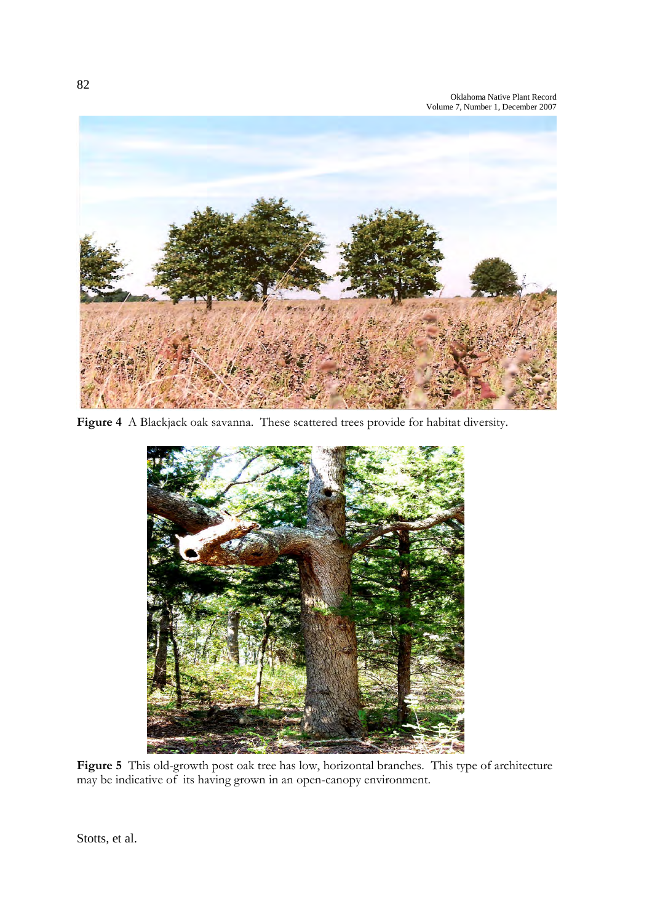

**Figure 4** A Blackjack oak savanna. These scattered trees provide for habitat diversity.



**Figure 5** This old-growth post oak tree has low, horizontal branches. This type of architecture may be indicative of its having grown in an open-canopy environment.

Stotts, et al.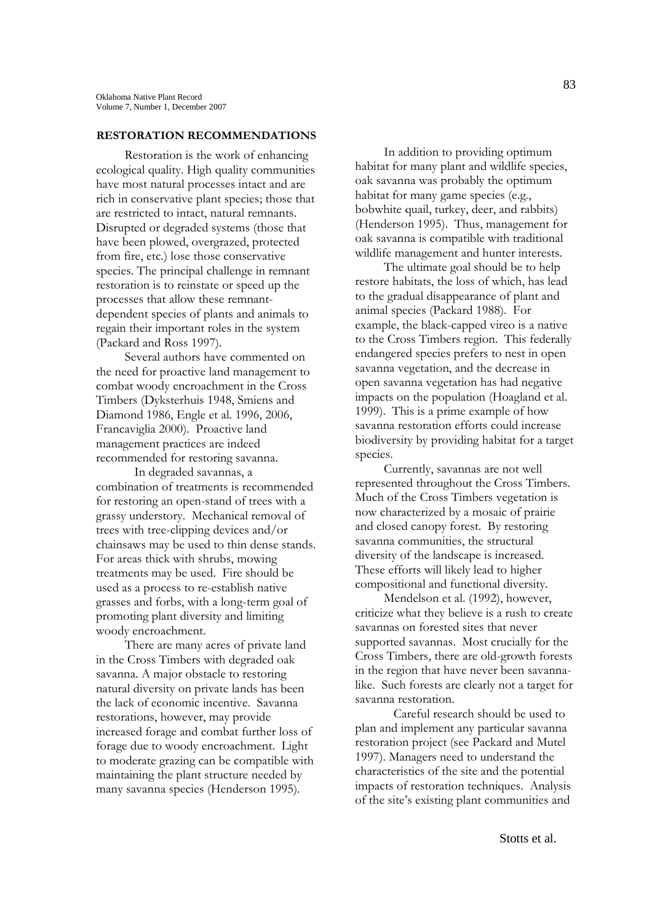### **RESTORATION RECOMMENDATIONS**

Restoration is the work of enhancing ecological quality. High quality communities have most natural processes intact and are rich in conservative plant species; those that are restricted to intact, natural remnants. Disrupted or degraded systems (those that have been plowed, overgrazed, protected from fire, etc.) lose those conservative species. The principal challenge in remnant restoration is to reinstate or speed up the processes that allow these remnantdependent species of plants and animals to regain their important roles in the system (Packard and Ross 1997).

Several authors have commented on the need for proactive land management to combat woody encroachment in the Cross Timbers (Dyksterhuis 1948, Smiens and Diamond 1986, Engle et al. 1996, 2006, Francaviglia 2000). Proactive land management practices are indeed recommended for restoring savanna.

In degraded savannas, a combination of treatments is recommended for restoring an open-stand of trees with a grassy understory. Mechanical removal of trees with tree-clipping devices and/or chainsaws may be used to thin dense stands. For areas thick with shrubs, mowing treatments may be used. Fire should be used as a process to re-establish native grasses and forbs, with a long-term goal of promoting plant diversity and limiting woody encroachment.

There are many acres of private land in the Cross Timbers with degraded oak savanna. A major obstacle to restoring natural diversity on private lands has been the lack of economic incentive. Savanna restorations, however, may provide increased forage and combat further loss of forage due to woody encroachment. Light to moderate grazing can be compatible with maintaining the plant structure needed by many savanna species (Henderson 1995).

In addition to providing optimum habitat for many plant and wildlife species, oak savanna was probably the optimum habitat for many game species (e.g., bobwhite quail, turkey, deer, and rabbits) (Henderson 1995). Thus, management for oak savanna is compatible with traditional wildlife management and hunter interests.

The ultimate goal should be to help restore habitats, the loss of which, has lead to the gradual disappearance of plant and animal species (Packard 1988). For example, the black-capped vireo is a native to the Cross Timbers region. This federally endangered species prefers to nest in open savanna vegetation, and the decrease in open savanna vegetation has had negative impacts on the population (Hoagland et al. 1999). This is a prime example of how savanna restoration efforts could increase biodiversity by providing habitat for a target species.

Currently, savannas are not well represented throughout the Cross Timbers. Much of the Cross Timbers vegetation is now characterized by a mosaic of prairie and closed canopy forest. By restoring savanna communities, the structural diversity of the landscape is increased. These efforts will likely lead to higher compositional and functional diversity.

Mendelson et al. (1992), however, criticize what they believe is a rush to create savannas on forested sites that never supported savannas. Most crucially for the Cross Timbers, there are old-growth forests in the region that have never been savannalike. Such forests are clearly not a target for savanna restoration.

Careful research should be used to plan and implement any particular savanna restoration project (see Packard and Mutel 1997). Managers need to understand the characteristics of the site and the potential impacts of restoration techniques. Analysis of the site's existing plant communities and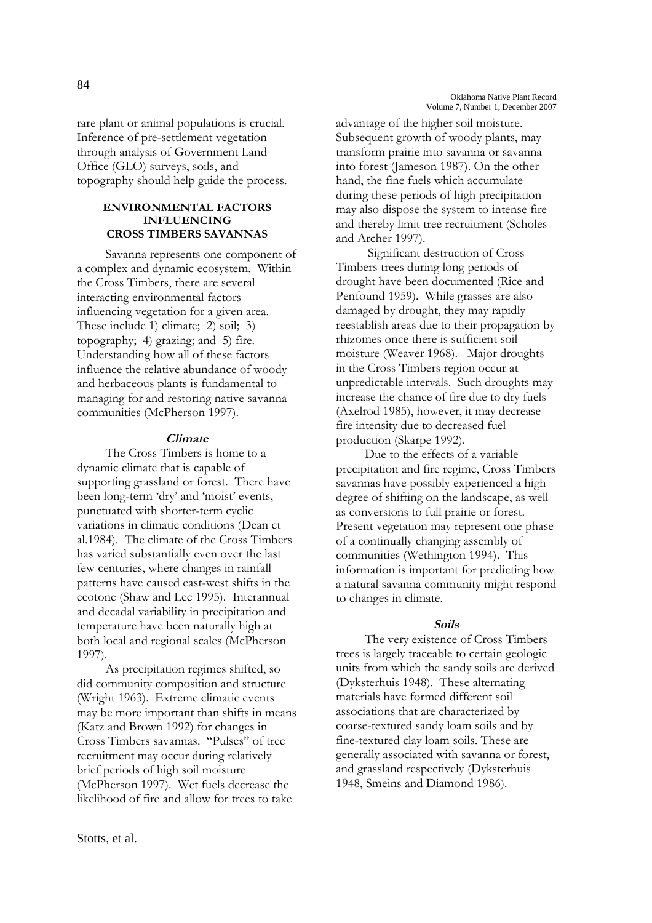rare plant or animal populations is crucial. Inference of pre-settlement vegetation through analysis of Government Land Office (GLO) surveys, soils, and topography should help guide the process.

## **ENVIRONMENTAL FACTORS INFLUENCING CROSS TIMBERS SAVANNAS**

Savanna represents one component of a complex and dynamic ecosystem. Within the Cross Timbers, there are several interacting environmental factors influencing vegetation for a given area. These include 1) climate; 2) soil; 3) topography; 4) grazing; and 5) fire. Understanding how all of these factors influence the relative abundance of woody and herbaceous plants is fundamental to managing for and restoring native savanna communities (McPherson 1997).

# **Climate**

The Cross Timbers is home to a dynamic climate that is capable of supporting grassland or forest. There have been long-term 'dry' and 'moist' events, punctuated with shorter-term cyclic variations in climatic conditions (Dean et al.1984). The climate of the Cross Timbers has varied substantially even over the last few centuries, where changes in rainfall patterns have caused east-west shifts in the ecotone (Shaw and Lee 1995). Interannual and decadal variability in precipitation and temperature have been naturally high at both local and regional scales (McPherson 1997).

As precipitation regimes shifted, so did community composition and structure (Wright 1963). Extreme climatic events may be more important than shifts in means (Katz and Brown 1992) for changes in Cross Timbers savannas. "Pulses" of tree recruitment may occur during relatively brief periods of high soil moisture (McPherson 1997). Wet fuels decrease the likelihood of fire and allow for trees to take

advantage of the higher soil moisture. Subsequent growth of woody plants, may transform prairie into savanna or savanna into forest (Jameson 1987). On the other hand, the fine fuels which accumulate during these periods of high precipitation may also dispose the system to intense fire and thereby limit tree recruitment (Scholes and Archer 1997).

Significant destruction of Cross Timbers trees during long periods of drought have been documented (Rice and Penfound 1959). While grasses are also damaged by drought, they may rapidly reestablish areas due to their propagation by rhizomes once there is sufficient soil moisture (Weaver 1968). Major droughts in the Cross Timbers region occur at unpredictable intervals. Such droughts may increase the chance of fire due to dry fuels (Axelrod 1985), however, it may decrease fire intensity due to decreased fuel production (Skarpe 1992).

Due to the effects of a variable precipitation and fire regime, Cross Timbers savannas have possibly experienced a high degree of shifting on the landscape, as well as conversions to full prairie or forest. Present vegetation may represent one phase of a continually changing assembly of communities (Wethington 1994). This information is important for predicting how a natural savanna community might respond to changes in climate.

## **Soils**

The very existence of Cross Timbers trees is largely traceable to certain geologic units from which the sandy soils are derived (Dyksterhuis 1948). These alternating materials have formed different soil associations that are characterized by coarse-textured sandy loam soils and by fine-textured clay loam soils. These are generally associated with savanna or forest, and grassland respectively (Dyksterhuis 1948, Smeins and Diamond 1986).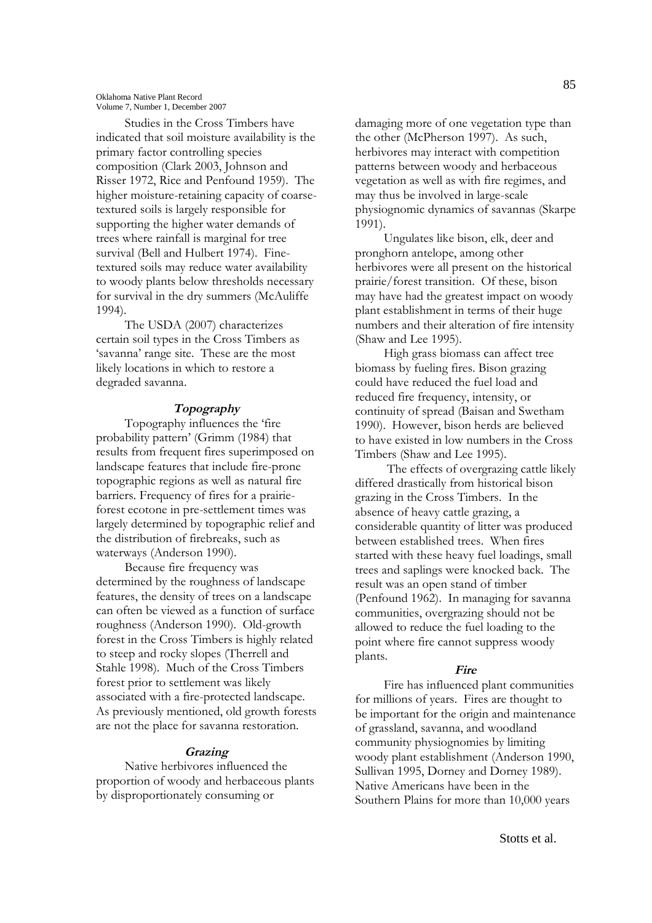Studies in the Cross Timbers have indicated that soil moisture availability is the primary factor controlling species composition (Clark 2003, Johnson and Risser 1972, Rice and Penfound 1959). The higher moisture-retaining capacity of coarsetextured soils is largely responsible for supporting the higher water demands of trees where rainfall is marginal for tree survival (Bell and Hulbert 1974). Finetextured soils may reduce water availability to woody plants below thresholds necessary for survival in the dry summers (McAuliffe 1994).

The USDA (2007) characterizes certain soil types in the Cross Timbers as 'savanna' range site. These are the most likely locations in which to restore a degraded savanna.

## **Topography**

Topography influences the 'fire probability pattern' (Grimm (1984) that results from frequent fires superimposed on landscape features that include fire-prone topographic regions as well as natural fire barriers. Frequency of fires for a prairieforest ecotone in pre-settlement times was largely determined by topographic relief and the distribution of firebreaks, such as waterways (Anderson 1990).

Because fire frequency was determined by the roughness of landscape features, the density of trees on a landscape can often be viewed as a function of surface roughness (Anderson 1990). Old-growth forest in the Cross Timbers is highly related to steep and rocky slopes (Therrell and Stahle 1998). Much of the Cross Timbers forest prior to settlement was likely associated with a fire-protected landscape. As previously mentioned, old growth forests are not the place for savanna restoration.

## **Grazing**

Native herbivores influenced the proportion of woody and herbaceous plants by disproportionately consuming or

damaging more of one vegetation type than the other (McPherson 1997). As such, herbivores may interact with competition patterns between woody and herbaceous vegetation as well as with fire regimes, and may thus be involved in large-scale physiognomic dynamics of savannas (Skarpe 1991).

Ungulates like bison, elk, deer and pronghorn antelope, among other herbivores were all present on the historical prairie/forest transition. Of these, bison may have had the greatest impact on woody plant establishment in terms of their huge numbers and their alteration of fire intensity (Shaw and Lee 1995).

High grass biomass can affect tree biomass by fueling fires. Bison grazing could have reduced the fuel load and reduced fire frequency, intensity, or continuity of spread (Baisan and Swetham 1990). However, bison herds are believed to have existed in low numbers in the Cross Timbers (Shaw and Lee 1995).

The effects of overgrazing cattle likely differed drastically from historical bison grazing in the Cross Timbers. In the absence of heavy cattle grazing, a considerable quantity of litter was produced between established trees. When fires started with these heavy fuel loadings, small trees and saplings were knocked back. The result was an open stand of timber (Penfound 1962). In managing for savanna communities, overgrazing should not be allowed to reduce the fuel loading to the point where fire cannot suppress woody plants.

## **Fire**

Fire has influenced plant communities for millions of years. Fires are thought to be important for the origin and maintenance of grassland, savanna, and woodland community physiognomies by limiting woody plant establishment (Anderson 1990, Sullivan 1995, Dorney and Dorney 1989). Native Americans have been in the Southern Plains for more than 10,000 years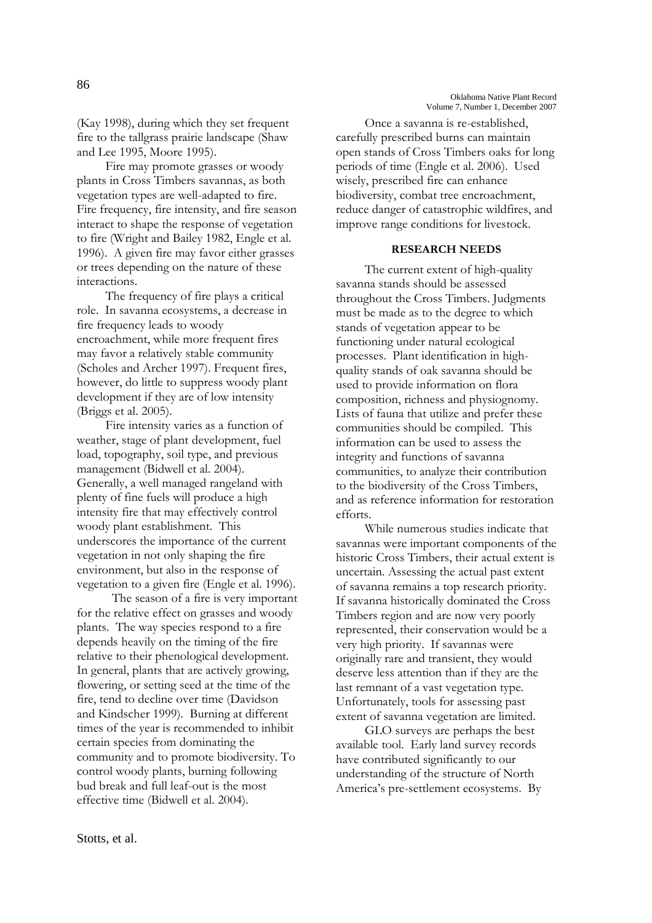Stotts, et al.

(Kay 1998), during which they set frequent fire to the tallgrass prairie landscape (Shaw and Lee 1995, Moore 1995).

Fire may promote grasses or woody plants in Cross Timbers savannas, as both vegetation types are well-adapted to fire. Fire frequency, fire intensity, and fire season interact to shape the response of vegetation to fire (Wright and Bailey 1982, Engle et al. 1996). A given fire may favor either grasses or trees depending on the nature of these interactions.

The frequency of fire plays a critical role. In savanna ecosystems, a decrease in fire frequency leads to woody encroachment, while more frequent fires may favor a relatively stable community (Scholes and Archer 1997). Frequent fires, however, do little to suppress woody plant development if they are of low intensity (Briggs et al. 2005).

Fire intensity varies as a function of weather, stage of plant development, fuel load, topography, soil type, and previous management (Bidwell et al. 2004). Generally, a well managed rangeland with plenty of fine fuels will produce a high intensity fire that may effectively control woody plant establishment. This underscores the importance of the current vegetation in not only shaping the fire environment, but also in the response of vegetation to a given fire (Engle et al. 1996).

The season of a fire is very important for the relative effect on grasses and woody plants. The way species respond to a fire depends heavily on the timing of the fire relative to their phenological development. In general, plants that are actively growing, flowering, or setting seed at the time of the fire, tend to decline over time (Davidson and Kindscher 1999). Burning at different times of the year is recommended to inhibit certain species from dominating the community and to promote biodiversity. To control woody plants, burning following bud break and full leaf-out is the most effective time (Bidwell et al. 2004).

Once a savanna is re-established, carefully prescribed burns can maintain open stands of Cross Timbers oaks for long periods of time (Engle et al. 2006). Used wisely, prescribed fire can enhance biodiversity, combat tree encroachment, reduce danger of catastrophic wildfires, and improve range conditions for livestock.

#### **RESEARCH NEEDS**

The current extent of high-quality savanna stands should be assessed throughout the Cross Timbers. Judgments must be made as to the degree to which stands of vegetation appear to be functioning under natural ecological processes. Plant identification in highquality stands of oak savanna should be used to provide information on flora composition, richness and physiognomy. Lists of fauna that utilize and prefer these communities should be compiled. This information can be used to assess the integrity and functions of savanna communities, to analyze their contribution to the biodiversity of the Cross Timbers, and as reference information for restoration efforts.

While numerous studies indicate that savannas were important components of the historic Cross Timbers, their actual extent is uncertain. Assessing the actual past extent of savanna remains a top research priority. If savanna historically dominated the Cross Timbers region and are now very poorly represented, their conservation would be a very high priority. If savannas were originally rare and transient, they would deserve less attention than if they are the last remnant of a vast vegetation type. Unfortunately, tools for assessing past extent of savanna vegetation are limited.

GLO surveys are perhaps the best available tool. Early land survey records have contributed significantly to our understanding of the structure of North America's pre-settlement ecosystems. By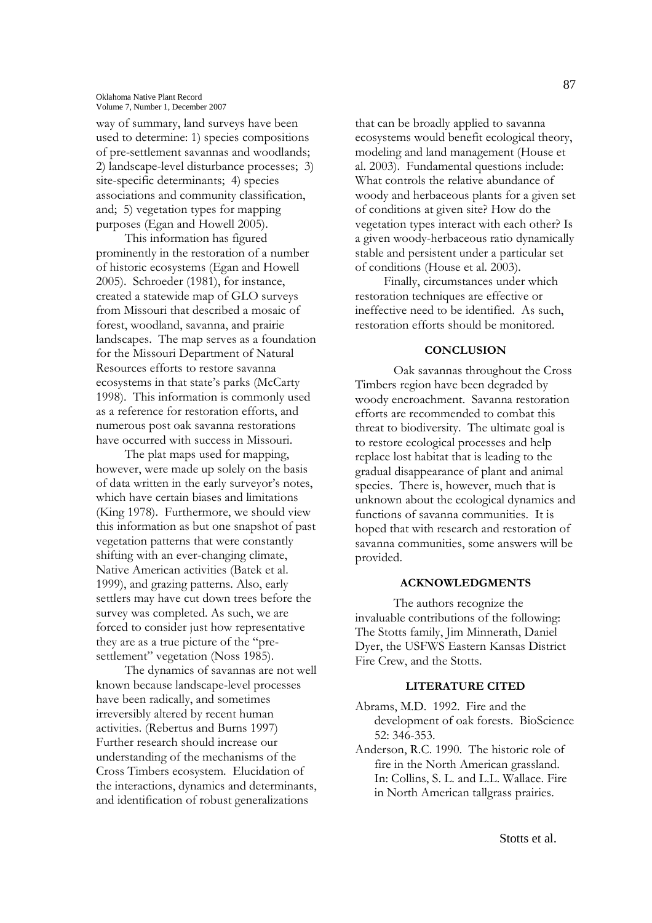way of summary, land surveys have been used to determine: 1) species compositions of pre-settlement savannas and woodlands; 2) landscape-level disturbance processes; 3) site-specific determinants; 4) species associations and community classification, and; 5) vegetation types for mapping purposes (Egan and Howell 2005).

This information has figured prominently in the restoration of a number of historic ecosystems (Egan and Howell 2005). Schroeder (1981), for instance, created a statewide map of GLO surveys from Missouri that described a mosaic of forest, woodland, savanna, and prairie landscapes. The map serves as a foundation for the Missouri Department of Natural Resources efforts to restore savanna ecosystems in that state's parks (McCarty 1998). This information is commonly used as a reference for restoration efforts, and numerous post oak savanna restorations have occurred with success in Missouri.

The plat maps used for mapping, however, were made up solely on the basis of data written in the early surveyor's notes, which have certain biases and limitations (King 1978). Furthermore, we should view this information as but one snapshot of past vegetation patterns that were constantly shifting with an ever-changing climate, Native American activities (Batek et al. 1999), and grazing patterns. Also, early settlers may have cut down trees before the survey was completed. As such, we are forced to consider just how representative they are as a true picture of the "presettlement" vegetation (Noss 1985).

The dynamics of savannas are not well known because landscape-level processes have been radically, and sometimes irreversibly altered by recent human activities. (Rebertus and Burns 1997) Further research should increase our understanding of the mechanisms of the Cross Timbers ecosystem. Elucidation of the interactions, dynamics and determinants, and identification of robust generalizations

that can be broadly applied to savanna ecosystems would benefit ecological theory, modeling and land management (House et al. 2003). Fundamental questions include: What controls the relative abundance of woody and herbaceous plants for a given set of conditions at given site? How do the vegetation types interact with each other? Is a given woody-herbaceous ratio dynamically stable and persistent under a particular set of conditions (House et al. 2003).

Finally, circumstances under which restoration techniques are effective or ineffective need to be identified. As such, restoration efforts should be monitored.

# **CONCLUSION**

Oak savannas throughout the Cross Timbers region have been degraded by woody encroachment. Savanna restoration efforts are recommended to combat this threat to biodiversity. The ultimate goal is to restore ecological processes and help replace lost habitat that is leading to the gradual disappearance of plant and animal species. There is, however, much that is unknown about the ecological dynamics and functions of savanna communities. It is hoped that with research and restoration of savanna communities, some answers will be provided.

# **ACKNOWLEDGMENTS**

The authors recognize the invaluable contributions of the following: The Stotts family, Jim Minnerath, Daniel Dyer, the USFWS Eastern Kansas District Fire Crew, and the Stotts.

#### **LITERATURE CITED**

- Abrams, M.D. 1992. Fire and the development of oak forests. BioScience 52: 346-353.
- Anderson, R.C. 1990. The historic role of fire in the North American grassland. In: Collins, S. L. and L.L. Wallace. Fire in North American tallgrass prairies.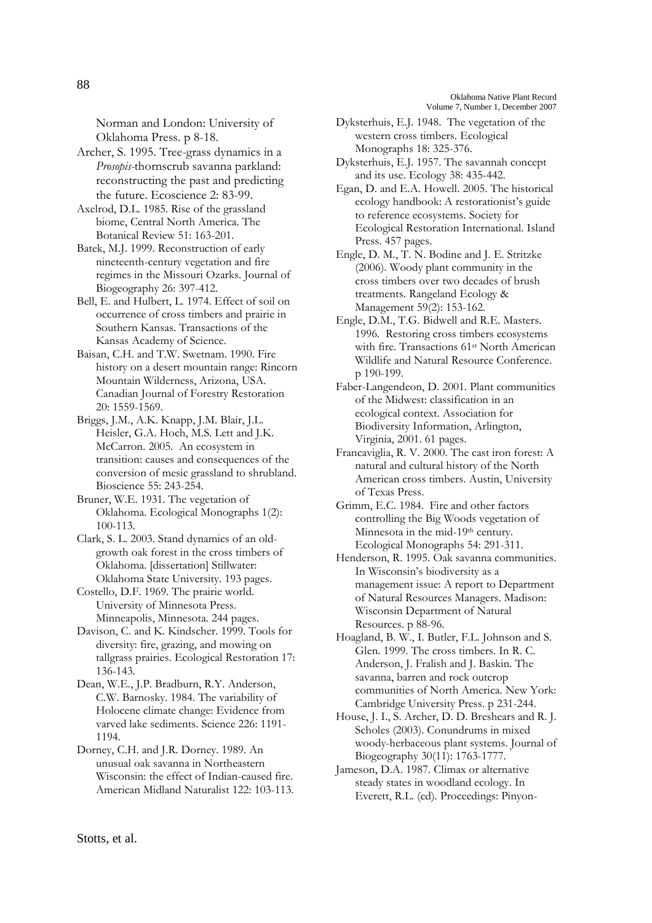Norman and London: University of Oklahoma Press. p 8-18.

Archer, S. 1995. Tree-grass dynamics in a *Prosopis-*thornscrub savanna parkland: reconstructing the past and predicting the future. Ecoscience 2: 83-99.

Axelrod, D.L. 1985. Rise of the grassland biome, Central North America. The Botanical Review 51: 163-201.

Batek, M.J. 1999. Reconstruction of early nineteenth-century vegetation and fire regimes in the Missouri Ozarks. Journal of Biogeography 26: 397-412.

Bell, E. and Hulbert, L. 1974. Effect of soil on occurrence of cross timbers and prairie in Southern Kansas. Transactions of the Kansas Academy of Science.

Baisan, C.H. and T.W. Swetnam. 1990. Fire history on a desert mountain range: Rincorn Mountain Wilderness, Arizona, USA. Canadian Journal of Forestry Restoration 20: 1559-1569.

Briggs, J.M., A.K. Knapp, J.M. Blair, J.L. Heisler, G.A. Hoch, M.S. Lett and J.K. McCarron. 2005. An ecosystem in transition: causes and consequences of the conversion of mesic grassland to shrubland. Bioscience 55: 243-254.

Bruner, W.E. 1931. The vegetation of Oklahoma. Ecological Monographs 1(2): 100-113.

Clark, S. L. 2003. Stand dynamics of an oldgrowth oak forest in the cross timbers of Oklahoma. [dissertation] Stillwater: Oklahoma State University. 193 pages.

Costello, D.F. 1969. The prairie world. University of Minnesota Press. Minneapolis, Minnesota. 244 pages.

Davison, C. and K. Kindscher. 1999. Tools for diversity: fire, grazing, and mowing on tallgrass prairies. Ecological Restoration 17: 136-143.

Dean, W.E., J.P. Bradburn, R.Y. Anderson, C.W. Barnosky. 1984. The variability of Holocene climate change: Evidence from varved lake sediments. Science 226: 1191- 1194.

Dorney, C.H. and J.R. Dorney. 1989. An unusual oak savanna in Northeastern Wisconsin: the effect of Indian-caused fire. American Midland Naturalist 122: 103-113. Dyksterhuis, E.J. 1948. The vegetation of the western cross timbers. Ecological Monographs 18: 325-376.

Dyksterhuis, E.J. 1957. The savannah concept and its use. Ecology 38: 435-442.

Egan, D. and E.A. Howell. 2005. The historical ecology handbook: A restorationist's guide to reference ecosystems. Society for Ecological Restoration International. Island Press. 457 pages.

Engle, D. M., T. N. Bodine and J. E. Stritzke (2006). Woody plant community in the cross timbers over two decades of brush treatments. Rangeland Ecology & Management 59(2): 153-162.

Engle, D.M., T.G. Bidwell and R.E. Masters. 1996. Restoring cross timbers ecosystems with fire. Transactions 61<sup>st</sup> North American Wildlife and Natural Resource Conference. p 190-199.

Faber-Langendeon, D. 2001. Plant communities of the Midwest: classification in an ecological context. Association for Biodiversity Information, Arlington, Virginia, 2001. 61 pages.

Francaviglia, R. V. 2000. The cast iron forest: A natural and cultural history of the North American cross timbers. Austin, University of Texas Press.

Grimm, E.C. 1984. Fire and other factors controlling the Big Woods vegetation of Minnesota in the mid-19<sup>th</sup> century. Ecological Monographs 54: 291-311.

Henderson, R. 1995. Oak savanna communities. In Wisconsin's biodiversity as a management issue: A report to Department of Natural Resources Managers. Madison: Wisconsin Department of Natural Resources. p 88-96.

Hoagland, B. W., I. Butler, F.L. Johnson and S. Glen. 1999. The cross timbers. In R. C. Anderson, J. Fralish and J. Baskin. The savanna, barren and rock outcrop communities of North America. New York: Cambridge University Press. p 231-244.

House, J. I., S. Archer, D. D. Breshears and R. J. Scholes (2003). Conundrums in mixed woody-herbaceous plant systems. Journal of Biogeography 30(11): 1763-1777.

Jameson, D.A. 1987. Climax or alternative steady states in woodland ecology. In Everett, R.L. (ed). Proceedings: Pinyon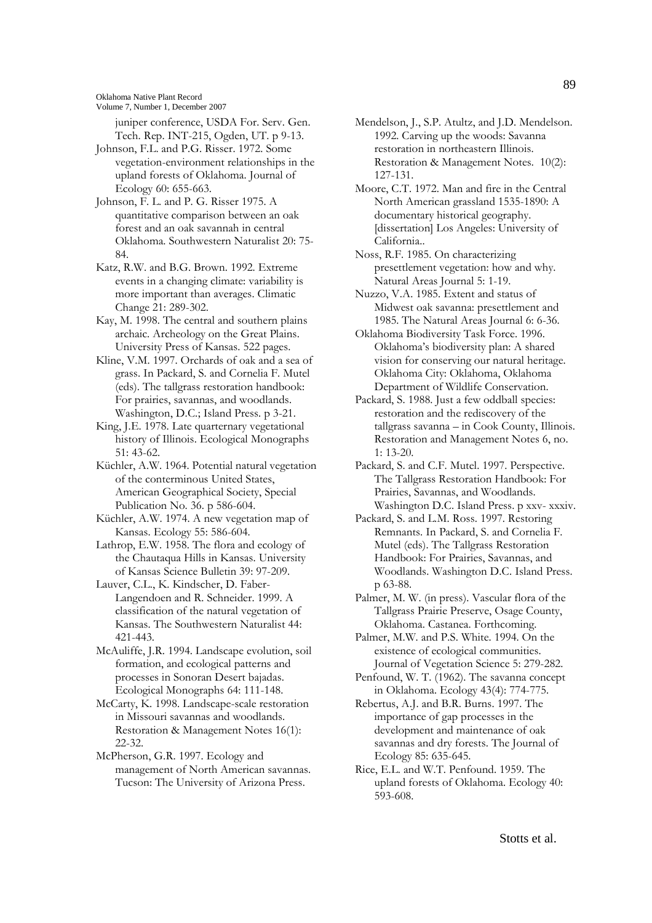Oklahoma Native Plant Record

Volume 7, Number 1, December 2007

juniper conference, USDA For. Serv. Gen. Tech. Rep. INT-215, Ogden, UT. p 9-13.

Johnson, F.L. and P.G. Risser. 1972. Some vegetation-environment relationships in the upland forests of Oklahoma. Journal of Ecology 60: 655-663.

Johnson, F. L. and P. G. Risser 1975. A quantitative comparison between an oak forest and an oak savannah in central Oklahoma. Southwestern Naturalist 20: 75- 84.

Katz, R.W. and B.G. Brown. 1992. Extreme events in a changing climate: variability is more important than averages. Climatic Change 21: 289-302.

Kay, M. 1998. The central and southern plains archaic. Archeology on the Great Plains. University Press of Kansas. 522 pages.

Kline, V.M. 1997. Orchards of oak and a sea of grass. In Packard, S. and Cornelia F. Mutel (eds). The tallgrass restoration handbook: For prairies, savannas, and woodlands. Washington, D.C.; Island Press. p 3-21.

King, J.E. 1978. Late quarternary vegetational history of Illinois. Ecological Monographs 51: 43-62.

Küchler, A.W. 1964. Potential natural vegetation of the conterminous United States, American Geographical Society, Special Publication No. 36. p 586-604.

Küchler, A.W. 1974. A new vegetation map of Kansas. Ecology 55: 586-604.

Lathrop, E.W. 1958. The flora and ecology of the Chautaqua Hills in Kansas. University of Kansas Science Bulletin 39: 97-209.

Lauver, C.L., K. Kindscher, D. Faber-Langendoen and R. Schneider. 1999. A classification of the natural vegetation of Kansas. The Southwestern Naturalist 44: 421-443.

McAuliffe, J.R. 1994. Landscape evolution, soil formation, and ecological patterns and processes in Sonoran Desert bajadas. Ecological Monographs 64: 111-148.

McCarty, K. 1998. Landscape-scale restoration in Missouri savannas and woodlands. Restoration & Management Notes 16(1): 22-32.

McPherson, G.R. 1997. Ecology and management of North American savannas. Tucson: The University of Arizona Press.

Mendelson, J., S.P. Atultz, and J.D. Mendelson. 1992. Carving up the woods: Savanna restoration in northeastern Illinois. Restoration & Management Notes*.* 10(2): 127-131.

Moore, C.T. 1972. Man and fire in the Central North American grassland 1535-1890: A documentary historical geography. [dissertation] Los Angeles: University of California..

Noss, R.F. 1985. On characterizing presettlement vegetation: how and why. Natural Areas Journal 5: 1-19.

Nuzzo, V.A. 1985. Extent and status of Midwest oak savanna: presettlement and 1985. The Natural Areas Journal 6: 6-36.

Oklahoma Biodiversity Task Force. 1996. Oklahoma's biodiversity plan: A shared vision for conserving our natural heritage. Oklahoma City: Oklahoma, Oklahoma Department of Wildlife Conservation.

Packard, S. 1988. Just a few oddball species: restoration and the rediscovery of the tallgrass savanna – in Cook County, Illinois. Restoration and Management Notes 6, no. 1: 13-20.

Packard, S. and C.F. Mutel. 1997. Perspective. The Tallgrass Restoration Handbook: For Prairies, Savannas, and Woodlands. Washington D.C. Island Press. p xxv- xxxiv.

Packard, S. and L.M. Ross. 1997. Restoring Remnants. In Packard, S. and Cornelia F. Mutel (eds). The Tallgrass Restoration Handbook: For Prairies, Savannas, and Woodlands. Washington D.C. Island Press. p 63-88.

Palmer, M. W. (in press). Vascular flora of the Tallgrass Prairie Preserve, Osage County, Oklahoma. Castanea. Forthcoming.

Palmer, M.W. and P.S. White. 1994. On the existence of ecological communities. Journal of Vegetation Science 5: 279-282.

Penfound, W. T. (1962). The savanna concept in Oklahoma. Ecology 43(4): 774-775.

Rebertus, A.J. and B.R. Burns. 1997. The importance of gap processes in the development and maintenance of oak savannas and dry forests. The Journal of Ecology 85: 635-645.

Rice, E.L. and W.T. Penfound. 1959. The upland forests of Oklahoma. Ecology 40: 593-608.